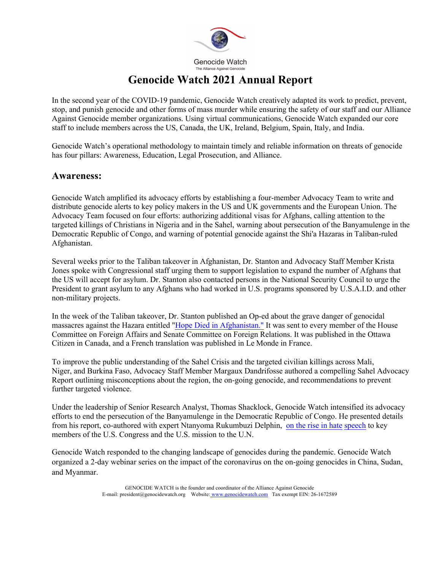

In the second year of the COVID-19 pandemic, Genocide Watch creatively adapted its work to predict, prevent, stop, and punish genocide and other forms of mass murder while ensuring the safety of our staff and our Alliance Against Genocide member organizations. Using virtual communications, Genocide Watch expanded our core staff to include members across the US, Canada, the UK, Ireland, Belgium, Spain, Italy, and India.

Genocide Watch's operational methodology to maintain timely and reliable information on threats of genocide has four pillars: Awareness, Education, Legal Prosecution, and Alliance.

#### **Awareness:**

Genocide Watch amplified its advocacy efforts by establishing a four-member Advocacy Team to write and distribute genocide alerts to key policy makers in the US and UK governments and the European Union. The Advocacy Team focused on four efforts: authorizing additional visas for Afghans, calling attention to the targeted killings of Christians in Nigeria and in the Sahel, warning about persecution of the Banyamulenge in the Democratic Republic of Congo, and warning of potential genocide against the Shi'a Hazaras in Taliban-ruled Afghanistan.

Several weeks prior to the Taliban takeover in Afghanistan, Dr. Stanton and Advocacy Staff Member Krista Jones spoke with Congressional staff urging them to support legislation to expand the number of Afghans that the US will accept for asylum. Dr. Stanton also contacted persons in the National Security Council to urge the President to grant asylum to any Afghans who had worked in U.S. programs sponsored by U.S.A.I.D. and other non-military projects.

In the week of the Taliban takeover, Dr. Stanton published an Op-ed about the grave danger of genocidal massacres against the Hazara entitled "Hope Died in Afghanistan." It was sent to every member of the House Committee on Foreign Affairs and Senate Committee on Foreign Relations. It was published in the Ottawa Citizen in Canada, and a French translation was published in Le Monde in France.

To improve the public understanding of the Sahel Crisis and the targeted civilian killings across Mali, Niger, and Burkina Faso, Advocacy Staff Member Margaux Dandrifosse authored a compelling Sahel Advocacy Report outlining misconceptions about the region, the on-going genocide, and recommendations to prevent further targeted violence.

Under the leadership of Senior Research Analyst, Thomas Shacklock, Genocide Watch intensified its advocacy efforts to end the persecution of the Banyamulenge in the Democratic Republic of Congo. He presented details from his report, co-authored with expert Ntanyoma Rukumbuzi Delphin, on the rise in hate speech to key members of the U.S. Congress and the U.S. mission to the U.N.

Genocide Watch responded to the changing landscape of genocides during the pandemic. Genocide Watch organized a 2-day webinar series on the impact of the coronavirus on the on-going genocides in China, Sudan, and Myanmar.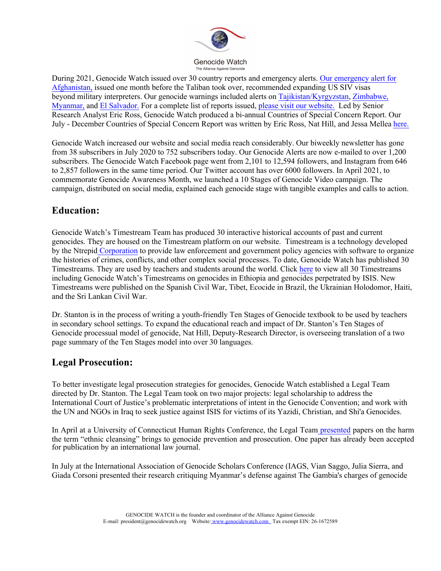

During 2021, Genocide Watch issued over 30 country reports and emergency alerts. Our emergency alert for Afghanistan, issued one month before the Taliban took over, recommended expanding US SIV visas beyond military interpreters. Our genocide warnings included alerts on Tajikistan/Kyrgyzstan, Zimbabwe, Myanmar, and El Salvador. For a complete list of reports issued, please visit our website. Led by Senior Research Analyst Eric Ross, Genocide Watch produced a bi-annual Countries of Special Concern Report. Our July - December Countries of Special Concern Report was written by Eric Ross, Nat Hill, and Jessa Mellea here.

Genocide Watch increased our website and social media reach considerably. Our biweekly newsletter has gone from 38 subscribers in July 2020 to 752 subscribers today. Our Genocide Alerts are now e-mailed to over 1,200 subscribers. The Genocide Watch Facebook page went from 2,101 to 12,594 followers, and Instagram from 646 to 2,857 followers in the same time period. Our Twitter account has over 6000 followers. In April 2021, to commemorate Genocide Awareness Month, we launched a 10 Stages of Genocide Video campaign. The campaign, distributed on social media, explained each genocide stage with tangible examples and calls to action.

### **Education:**

Genocide Watch's Timestream Team has produced 30 interactive historical accounts of past and current genocides. They are housed on the Timestream platform on our website. Timestream is a technology developed by the Ntrepid Corporation to provide law enforcement and government policy agencies with software to organize the histories of crimes, conflicts, and other complex social processes. To date, Genocide Watch has published 30 Timestreams. They are used by teachers and students around the world. Click here to view all 30 Timestreams including Genocide Watch's Timestreams on genocides in Ethiopia and genocides perpetrated by ISIS. New Timestreams were published on the Spanish Civil War, Tibet, Ecocide in Brazil, the Ukrainian Holodomor, Haiti, and the Sri Lankan Civil War.

Dr. Stanton is in the process of writing a youth-friendly Ten Stages of Genocide textbook to be used by teachers in secondary school settings. To expand the educational reach and impact of Dr. Stanton's Ten Stages of Genocide processual model of genocide, Nat Hill, Deputy-Research Director, is overseeing translation of a two page summary of the Ten Stages model into over 30 languages.

# **Legal Prosecution:**

To better investigate legal prosecution strategies for genocides, Genocide Watch established a Legal Team directed by Dr. Stanton. The Legal Team took on two major projects: legal scholarship to address the International Court of Justice's problematic interpretations of intent in the Genocide Convention; and work with the UN and NGOs in Iraq to seek justice against ISIS for victims of its Yazidi, Christian, and Shi'a Genocides.

In April at a University of Connecticut Human Rights Conference, the Legal Team presented papers on the harm the term "ethnic cleansing" brings to genocide prevention and prosecution. One paper has already been accepted for publication by an international law journal.

In July at the International Association of Genocide Scholars Conference (IAGS, Vian Saggo, Julia Sierra, and Giada Corsoni presented their research critiquing Myanmar's defense against The Gambia's charges of genocide